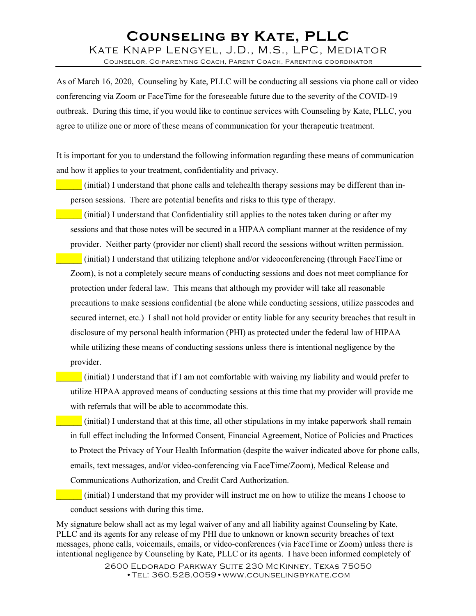## **Counseling by Kate, PLLC** Kate Knapp Lengyel, J.D., M.S., LPC, Mediator

Counselor, Co-parenting Coach, Parent Coach, Parenting coordinator

As of March 16, 2020, Counseling by Kate, PLLC will be conducting all sessions via phone call or video conferencing via Zoom or FaceTime for the foreseeable future due to the severity of the COVID-19 outbreak. During this time, if you would like to continue services with Counseling by Kate, PLLC, you agree to utilize one or more of these means of communication for your therapeutic treatment.

It is important for you to understand the following information regarding these means of communication and how it applies to your treatment, confidentiality and privacy.

\_\_\_\_\_\_ (initial) I understand that phone calls and telehealth therapy sessions may be different than inperson sessions. There are potential benefits and risks to this type of therapy.

\_\_\_\_\_\_ (initial) I understand that Confidentiality still applies to the notes taken during or after my sessions and that those notes will be secured in a HIPAA compliant manner at the residence of my provider. Neither party (provider nor client) shall record the sessions without written permission.

\_\_\_\_\_\_ (initial) I understand that utilizing telephone and/or videoconferencing (through FaceTime or Zoom), is not a completely secure means of conducting sessions and does not meet compliance for protection under federal law. This means that although my provider will take all reasonable precautions to make sessions confidential (be alone while conducting sessions, utilize passcodes and secured internet, etc.) I shall not hold provider or entity liable for any security breaches that result in disclosure of my personal health information (PHI) as protected under the federal law of HIPAA while utilizing these means of conducting sessions unless there is intentional negligence by the provider.

\_\_\_\_\_\_ (initial) I understand that if I am not comfortable with waiving my liability and would prefer to utilize HIPAA approved means of conducting sessions at this time that my provider will provide me with referrals that will be able to accommodate this.

\_\_\_\_\_\_ (initial) I understand that at this time, all other stipulations in my intake paperwork shall remain in full effect including the Informed Consent, Financial Agreement, Notice of Policies and Practices to Protect the Privacy of Your Health Information (despite the waiver indicated above for phone calls, emails, text messages, and/or video-conferencing via FaceTime/Zoom), Medical Release and Communications Authorization, and Credit Card Authorization.

\_\_\_\_\_\_ (initial) I understand that my provider will instruct me on how to utilize the means I choose to conduct sessions with during this time.

My signature below shall act as my legal waiver of any and all liability against Counseling by Kate, PLLC and its agents for any release of my PHI due to unknown or known security breaches of text messages, phone calls, voicemails, emails, or video-conferences (via FaceTime or Zoom) unless there is intentional negligence by Counseling by Kate, PLLC or its agents. I have been informed completely of

> 2600 Eldorado Parkway Suite 230 McKinney, Texas 75050 •Tel: 360.528.0059•www.counselingbykate.com